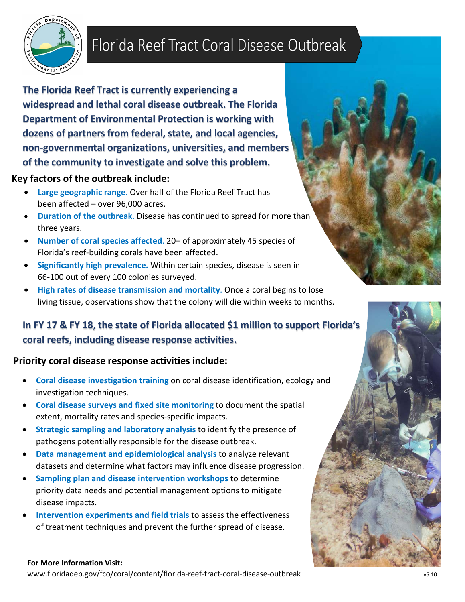

# Florida Reef Tract Coral Disease Outbreak

**The Florida Reef Tract is currently experiencing a widespread and lethal coral disease outbreak. The Florida Department of Environmental Protection is working with dozens of partners from federal, state, and local agencies, non-governmental organizations, universities, and members of the community to investigate and solve this problem.**

### **Key factors of the outbreak include:**

- **Large geographic range**. Over half of the Florida Reef Tract has been affected – over 96,000 acres.
- **Duration of the outbreak**. Disease has continued to spread for more than three years.
- **Number of coral species affected**. 20+ of approximately 45 species of Florida's reef-building corals have been affected.
- **Significantly high prevalence.** Within certain species, disease is seen in 66-100 out of every 100 colonies surveyed.
- **High rates of disease transmission and mortality**. Once a coral begins to lose living tissue, observations show that the colony will die within weeks to months.

# **In FY <sup>17</sup> & FY 18, the state of Florida allocated \$1 million to support Florida's coral reefs, including disease response activities.**

## **Priority coral disease response activities include:**

- **Coral disease investigation training** on coral disease identification, ecology and investigation techniques.
- **Coral disease surveys and fixed site monitoring** to document the spatial extent, mortality rates and species-specific impacts.
- **Strategic sampling and laboratory analysis** to identify the presence of pathogens potentially responsible for the disease outbreak.
- **Data management and epidemiological analysis** to analyze relevant datasets and determine what factors may influence disease progression.
- **Sampling plan and disease intervention workshops** to determine priority data needs and potential management options to mitigate disease impacts.
- **Intervention experiments and field trials** to assess the effectiveness of treatment techniques and prevent the further spread of disease.

#### **For More Information Visit:**

[www.floridadep.gov/fco/coral/content/florida-reef-tract-coral-disease-outbreak](http://www.floridadep.gov/fco/coral/content/florida-reef-tract-coral-disease-outbreak) v5.10